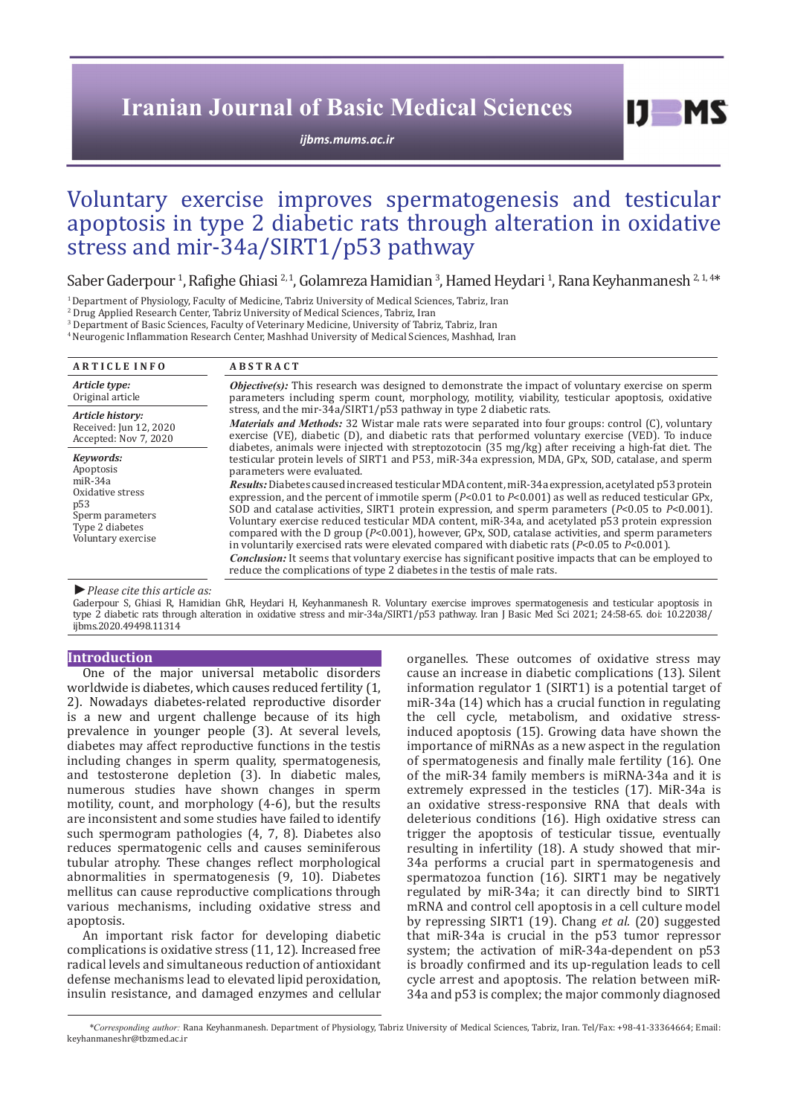# **Iranian Journal of Basic Medical Sciences**

*[ijbms.mums.ac.ir](http://ijbms.mums.ac.ir)*

 $I$   $I$   $M$   $S$ 

# Voluntary exercise improves spermatogenesis and testicular apoptosis in type 2 diabetic rats through alteration in oxidative stress and mir-34a/SIRT1/p53 pathway

Saber Gaderpour<sup>1</sup>, Rafighe Ghiasi <sup>2,1</sup>, Golamreza Hamidian<sup>3</sup>, Hamed Heydari<sup>1</sup>, Rana Keyhanmanesh <sup>2,1,4\*</sup><br><sup>1</sup> Department of Physiology, Faculty of Medicine, Tabriz University of Medical Sciences, Tabriz, Iran

2 Drug Applied Research Center, Tabriz University of Medical Sciences, Tabriz, Iran

3 Department of Basic Sciences, Faculty of Veterinary Medicine, University of Tabriz, Tabriz, Iran

<sup>4</sup>Neurogenic Inflammation Research Center, Mashhad University of Medical Sciences, Mashhad, Iran

| <b>ARTICLE INFO</b>                                                                                                                     | <b>ABSTRACT</b>                                                                                                                                                                                                                                                                                                                                                                                                                                                                                                                                                                                                                                                                                                                                                                                                                                                                                                                                                                                                                                                                                |  |  |  |
|-----------------------------------------------------------------------------------------------------------------------------------------|------------------------------------------------------------------------------------------------------------------------------------------------------------------------------------------------------------------------------------------------------------------------------------------------------------------------------------------------------------------------------------------------------------------------------------------------------------------------------------------------------------------------------------------------------------------------------------------------------------------------------------------------------------------------------------------------------------------------------------------------------------------------------------------------------------------------------------------------------------------------------------------------------------------------------------------------------------------------------------------------------------------------------------------------------------------------------------------------|--|--|--|
| Article type:                                                                                                                           | <b><i>Objective(s)</i></b> : This research was designed to demonstrate the impact of voluntary exercise on sperm                                                                                                                                                                                                                                                                                                                                                                                                                                                                                                                                                                                                                                                                                                                                                                                                                                                                                                                                                                               |  |  |  |
| Original article                                                                                                                        | parameters including sperm count, morphology, motility, viability, testicular apoptosis, oxidative                                                                                                                                                                                                                                                                                                                                                                                                                                                                                                                                                                                                                                                                                                                                                                                                                                                                                                                                                                                             |  |  |  |
| Article history:                                                                                                                        | stress, and the mir-34a/SIRT1/p53 pathway in type 2 diabetic rats.                                                                                                                                                                                                                                                                                                                                                                                                                                                                                                                                                                                                                                                                                                                                                                                                                                                                                                                                                                                                                             |  |  |  |
| Received: Jun 12, 2020                                                                                                                  | <i>Materials and Methods:</i> 32 Wistar male rats were separated into four groups: control (C), voluntary                                                                                                                                                                                                                                                                                                                                                                                                                                                                                                                                                                                                                                                                                                                                                                                                                                                                                                                                                                                      |  |  |  |
| Accepted: Nov 7, 2020                                                                                                                   | exercise (VE), diabetic (D), and diabetic rats that performed voluntary exercise (VED). To induce                                                                                                                                                                                                                                                                                                                                                                                                                                                                                                                                                                                                                                                                                                                                                                                                                                                                                                                                                                                              |  |  |  |
| Keywords:<br>Apoptosis<br>$miR-34a$<br>Oxidative stress<br>p <sub>53</sub><br>Sperm parameters<br>Type 2 diabetes<br>Voluntary exercise | diabetes, animals were injected with streptozotocin (35 mg/kg) after receiving a high-fat diet. The<br>testicular protein levels of SIRT1 and P53, miR-34a expression, MDA, GPx, SOD, catalase, and sperm<br>parameters were evaluated.<br><i>Results</i> : Diabetes caused increased testicular MDA content, miR-34a expression, acetylated p53 protein<br>expression, and the percent of immotile sperm ( $P<0.01$ to $P<0.001$ ) as well as reduced testicular GPx,<br>SOD and catalase activities, SIRT1 protein expression, and sperm parameters ( $P<0.05$ to $P<0.001$ ).<br>Voluntary exercise reduced testicular MDA content, miR-34a, and acetylated p53 protein expression<br>compared with the D group $(P<0.001)$ , however, GPx, SOD, catalase activities, and sperm parameters<br>in voluntarily exercised rats were elevated compared with diabetic rats ( $P<0.05$ to $P<0.001$ ).<br><b>Conclusion:</b> It seems that voluntary exercise has significant positive impacts that can be employed to<br>reduce the complications of type 2 diabetes in the testis of male rats. |  |  |  |

#### *►Please cite this article as:*

Gaderpour S, Ghiasi R, Hamidian GhR, Heydari H, Keyhanmanesh R. Voluntary exercise improves spermatogenesis and testicular apoptosis in type 2 diabetic rats through alteration in oxidative stress and mir-34a/SIRT1/p53 pathway. Iran J Basic Med Sci 2021; 24:58-65. doi: 10.22038/ ijbms.2020.49498.11314

# **Introduction**

One of the major universal metabolic disorders worldwide is diabetes, which causes reduced fertility (1, 2). Nowadays diabetes-related reproductive disorder is a new and urgent challenge because of its high prevalence in younger people (3). At several levels, diabetes may affect reproductive functions in the testis including changes in sperm quality, spermatogenesis, and testosterone depletion (3). In diabetic males, numerous studies have shown changes in sperm motility, count, and morphology (4-6), but the results are inconsistent and some studies have failed to identify such spermogram pathologies (4, 7, 8). Diabetes also reduces spermatogenic cells and causes seminiferous tubular atrophy. These changes reflect morphological abnormalities in spermatogenesis (9, 10). Diabetes mellitus can cause reproductive complications through various mechanisms, including oxidative stress and apoptosis.

An important risk factor for developing diabetic complications is oxidative stress (11, 12). Increased free radical levels and simultaneous reduction of antioxidant defense mechanisms lead to elevated lipid peroxidation, insulin resistance, and damaged enzymes and cellular organelles. These outcomes of oxidative stress may cause an increase in diabetic complications (13). Silent information regulator 1 (SIRT1) is a potential target of miR-34a (14) which has a crucial function in regulating the cell cycle, metabolism, and oxidative stressinduced apoptosis (15). Growing data have shown the importance of miRNAs as a new aspect in the regulation of spermatogenesis and finally male fertility (16). One of the miR-34 family members is miRNA-34a and it is extremely expressed in the testicles (17). MiR-34a is an oxidative stress-responsive RNA that deals with deleterious conditions (16). High oxidative stress can trigger the apoptosis of testicular tissue, eventually resulting in infertility (18). A study showed that mir-34a performs a crucial part in spermatogenesis and spermatozoa function (16). SIRT1 may be negatively regulated by miR-34a; it can directly bind to SIRT1 mRNA and control cell apoptosis in a cell culture model by repressing SIRT1 (19). Chang *et al.* (20) suggested that miR-34a is crucial in the p53 tumor repressor system; the activation of miR-34a-dependent on p53 is broadly confirmed and its up-regulation leads to cell cycle arrest and apoptosis. The relation between miR-34a and p53 is complex; the major commonly diagnosed

*\*Corresponding author:* Rana Keyhanmanesh. Department of Physiology, Tabriz University of Medical Sciences, Tabriz, Iran. Tel/Fax: +98-41-33364664; Email: keyhanmaneshr@tbzmed.ac.ir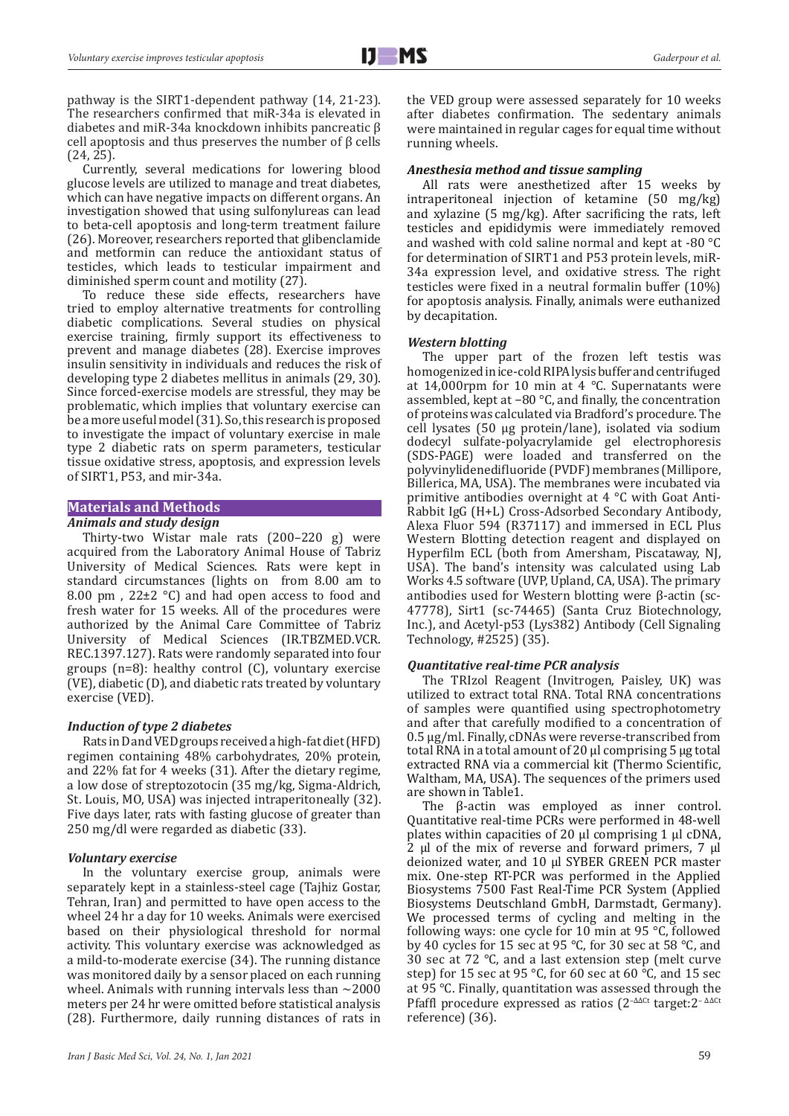pathway is the SIRT1-dependent pathway (14, 21-23). The researchers confirmed that miR-34a is elevated in diabetes and miR-34a knockdown inhibits pancreatic β cell apoptosis and thus preserves the number of β cells (24, 25).

Currently, several medications for lowering blood glucose levels are utilized to manage and treat diabetes, which can have negative impacts on different organs. An investigation showed that using sulfonylureas can lead to beta-cell apoptosis and long-term treatment failure (26). Moreover, researchers reported that glibenclamide and metformin can reduce the antioxidant status of testicles, which leads to testicular impairment and diminished sperm count and motility (27).

To reduce these side effects, researchers have tried to employ alternative treatments for controlling diabetic complications. Several studies on physical exercise training, firmly support its effectiveness to prevent and manage diabetes (28). Exercise improves insulin sensitivity in individuals and reduces the risk of developing type 2 diabetes mellitus in animals (29, 30). Since forced-exercise models are stressful, they may be problematic, which implies that voluntary exercise can be a more useful model (31). So, this research is proposed to investigate the impact of voluntary exercise in male type 2 diabetic rats on sperm parameters, testicular tissue oxidative stress, apoptosis, and expression levels of SIRT1, P53, and mir-34a.

# **Materials and Methods**

# *Animals and study design*

Thirty-two Wistar male rats (200–220 g) were acquired from the Laboratory Animal House of Tabriz University of Medical Sciences. Rats were kept in standard circumstances (lights on from 8.00 am to 8.00 pm,  $22\pm2$  °C) and had open access to food and fresh water for 15 weeks. All of the procedures were authorized by the Animal Care Committee of Tabriz University of Medical Sciences (IR.TBZMED.VCR. REC.1397.127). Rats were randomly separated into four groups (n=8): healthy control (C), voluntary exercise (VE), diabetic (D), and diabetic rats treated by voluntary exercise (VED).

### *Induction of type 2 diabetes*

Rats in D and VED groups received a high-fat diet (HFD) regimen containing 48% carbohydrates, 20% protein, and 22% fat for 4 weeks (31). After the dietary regime, a low dose of streptozotocin (35 mg/kg, Sigma-Aldrich, St. Louis, MO, USA) was injected intraperitoneally (32). Five days later, rats with fasting glucose of greater than 250 mg/dl were regarded as diabetic (33).

### *Voluntary exercise*

In the voluntary exercise group, animals were separately kept in a stainless-steel cage (Tajhiz Gostar, Tehran, Iran) and permitted to have open access to the wheel 24 hr a day for 10 weeks. Animals were exercised based on their physiological threshold for normal activity. This voluntary exercise was acknowledged as a mild-to-moderate exercise (34). The running distance was monitored daily by a sensor placed on each running wheel. Animals with running intervals less than  $\sim$ 2000 meters per 24 hr were omitted before statistical analysis (28). Furthermore, daily running distances of rats in

the VED group were assessed separately for 10 weeks after diabetes confirmation. The sedentary animals were maintained in regular cages for equal time without running wheels.

# *Anesthesia method and tissue sampling*

All rats were anesthetized after 15 weeks by intraperitoneal injection of ketamine (50 mg/kg) and xylazine (5 mg/kg). After sacrificing the rats, left testicles and epididymis were immediately removed and washed with cold saline normal and kept at -80 °C for determination of SIRT1 and P53 protein levels, miR-34a expression level, and oxidative stress. The right testicles were fixed in a neutral formalin buffer (10%) for apoptosis analysis. Finally, animals were euthanized by decapitation.

## *Western blotting*

The upper part of the frozen left testis was homogenized in ice-cold RIPA lysis buffer and centrifuged at 14,000rpm for 10 min at 4  $\degree$ C. Supernatants were assembled, kept at −80 °C, and finally, the concentration of proteins was calculated via Bradford's procedure. The cell lysates (50 µg protein/lane), isolated via sodium dodecyl sulfate-polyacrylamide gel electrophoresis (SDS-PAGE) were loaded and transferred on the polyvinylidenedifluoride (PVDF) membranes (Millipore, Billerica, MA, USA). The membranes were incubated via primitive antibodies overnight at 4 °C with Goat Anti-Rabbit IgG (H+L) Cross-Adsorbed Secondary Antibody, Alexa Fluor 594 (R37117) and immersed in ECL Plus Western Blotting detection reagent and displayed on Hyperfilm ECL (both from Amersham, Piscataway, NJ, USA). The band's intensity was calculated using Lab Works 4.5 software (UVP, Upland, CA, USA). The primary antibodies used for Western blotting were β-actin (sc-47778), Sirt1 (sc-74465) (Santa Cruz Biotechnology, Inc.), and Acetyl-p53 (Lys382) Antibody (Cell Signaling Technology, #2525) (35).

### *Quantitative real-time PCR analysis*

The TRIzol Reagent (Invitrogen, Paisley, UK) was utilized to extract total RNA. Total RNA concentrations of samples were quantified using spectrophotometry and after that carefully modified to a concentration of 0.5 μg/ml. Finally, cDNAs were reverse-transcribed from total RNA in a total amount of 20 μl comprising 5 μg total extracted RNA via a commercial kit (Thermo Scientific, Waltham, MA, USA). The sequences of the primers used are shown in Table1.

The β-actin was employed as inner control. Quantitative real-time PCRs were performed in 48-well plates within capacities of 20 μl comprising 1 μl cDNA, 2 μl of the mix of reverse and forward primers, 7 μl deionized water, and 10 μl SYBER GREEN PCR master mix. One-step RT-PCR was performed in the Applied Biosystems 7500 Fast Real-Time PCR System (Applied Biosystems Deutschland GmbH, Darmstadt, Germany). We processed terms of cycling and melting in the following ways: one cycle for 10 min at 95 °C, followed by 40 cycles for 15 sec at 95 °C, for 30 sec at 58 °C, and 30 sec at 72 °C, and a last extension step (melt curve step) for 15 sec at 95 °C, for 60 sec at 60 °C, and 15 sec at 95 °C. Finally, quantitation was assessed through the Pfaffl procedure expressed as ratios (2<sup>-∆∆Ct</sup> target: 2<sup>-∆∆Ct</sup> reference) (36).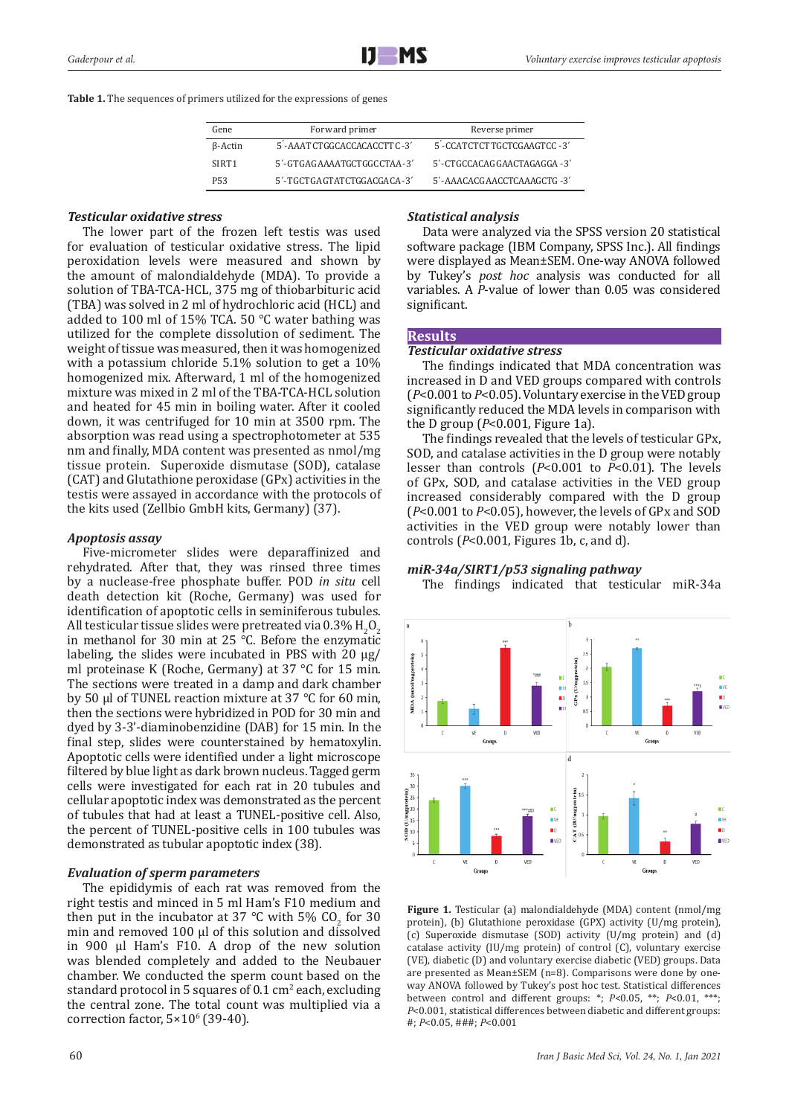**Table 1.** The sequences of primers utilized for the expressions of genes

| Gene              | Forward primer                          | Reverse primer                          |  |
|-------------------|-----------------------------------------|-----------------------------------------|--|
| B-Actin           | 5 <sup>'</sup> -AAATCTGGCACCACACCTTC-3' | 5 <sup>'</sup> -CCATCTCTTGCTCGAAGTCC-3' |  |
| SIRT <sub>1</sub> | 5'-GTGAGAAAATGCTGGCCTAA-3'              | 5'-CTGCCACAGGAACTAGAGGA-3'              |  |
| P53               | 5'-TGCTGAGTATCTGGACGACA-3'              | 5'-AAACACGAACCTCAAAGCTG -3'             |  |

# *Testicular oxidative stress*

The lower part of the frozen left testis was used for evaluation of testicular oxidative stress. The lipid peroxidation levels were measured and shown by the amount of malondialdehyde (MDA). To provide a solution of TBA-TCA-HCL, 375 mg of thiobarbituric acid (TBA) was solved in 2 ml of hydrochloric acid (HCL) and added to 100 ml of 15% TCA. 50 °C water bathing was utilized for the complete dissolution of sediment. The weight of tissue was measured, then it was homogenized with a potassium chloride 5.1% solution to get a 10% homogenized mix. Afterward, 1 ml of the homogenized mixture was mixed in 2 ml of the TBA-TCA-HCL solution and heated for 45 min in boiling water. After it cooled down, it was centrifuged for 10 min at 3500 rpm. The absorption was read using a spectrophotometer at 535 nm and finally, MDA content was presented as nmol/mg tissue protein. Superoxide dismutase (SOD), catalase (CAT) and Glutathione peroxidase (GPx) activities in the testis were assayed in accordance with the protocols of the kits used (Zellbio GmbH kits, Germany) (37).

# *Apoptosis assay*

Five-micrometer slides were deparaffinized and rehydrated. After that, they was rinsed three times by a nuclease-free phosphate buffer. POD *in situ* cell death detection kit (Roche, Germany) was used for identification of apoptotic cells in seminiferous tubules. All testicular tissue slides were pretreated via  $0.3\%$  H<sub>2</sub>O<sub>2</sub>. in methanol for 30 min at 25 °C. Before the enzymatic labeling, the slides were incubated in PBS with 20 μg/ ml proteinase K (Roche, Germany) at 37 °C for 15 min. The sections were treated in a damp and dark chamber by 50 μl of TUNEL reaction mixture at 37 °C for 60 min, then the sections were hybridized in POD for 30 min and dyed by 3-3'-diaminobenzidine (DAB) for 15 min. In the final step, slides were counterstained by hematoxylin. Apoptotic cells were identified under a light microscope filtered by blue light as dark brown nucleus. Tagged germ cells were investigated for each rat in 20 tubules and cellular apoptotic index was demonstrated as the percent of tubules that had at least a TUNEL-positive cell. Also, the percent of TUNEL-positive cells in 100 tubules was demonstrated as tubular apoptotic index (38).

# *Evaluation of sperm parameters*

The epididymis of each rat was removed from the right testis and minced in 5 ml Ham's F10 medium and then put in the incubator at 37 °C with 5%  $CO<sub>2</sub>$  for 30 min and removed 100 μl of this solution and dissolved in 900 μl Ham's F10. A drop of the new solution was blended completely and added to the Neubauer chamber. We conducted the sperm count based on the standard protocol in 5 squares of 0.1 cm<sup>2</sup> each, excluding the central zone. The total count was multiplied via a correction factor,  $5\times10^{6}$  (39-40).

# *Statistical analysis*

Data were analyzed via the SPSS version 20 statistical software package (IBM Company, SPSS Inc.). All findings were displayed as Mean±SEM. One-way ANOVA followed by Tukey's *post hoc* analysis was conducted for all variables. A *P*-value of lower than 0.05 was considered significant.

## **Results**

### *Testicular oxidative stress*

The findings indicated that MDA concentration was increased in D and VED groups compared with controls (*P*<0.001 to *P*<0.05). Voluntary exercise in the VED group significantly reduced the MDA levels in comparison with the D group (*P*<0.001, Figure 1a).

The findings revealed that the levels of testicular GPx, SOD, and catalase activities in the D group were notably lesser than controls (*P*<0.001 to *P*<0.01). The levels of GPx, SOD, and catalase activities in the VED group increased considerably compared with the D group (*P*<0.001 to *P*<0.05), however, the levels of GPx and SOD activities in the VED group were notably lower than controls (*P*<0.001, Figures 1b, c, and d).

## *miR-34a/SIRT1/p53 signaling pathway*

The findings indicated that testicular miR-34a



**Figure 1.** Testicular (a) malondialdehyde (MDA) content (nmol/mg protein), (b) Glutathione peroxidase (GPX) activity (U/mg protein), (c) Superoxide dismutase (SOD) activity (U/mg protein) and (d) catalase activity (IU/mg protein) of control (C), voluntary exercise (VE), diabetic (D) and voluntary exercise diabetic (VED) groups. Data are presented as Mean±SEM (n=8). Comparisons were done by oneway ANOVA followed by Tukey's post hoc test. Statistical differences between control and different groups: \*; *P*<0.05, \*\*; *P*<0.01, \*\*\*; *P*<0.001, statistical differences between diabetic and different groups: #; *P*<0.05, ###; *P*<0.001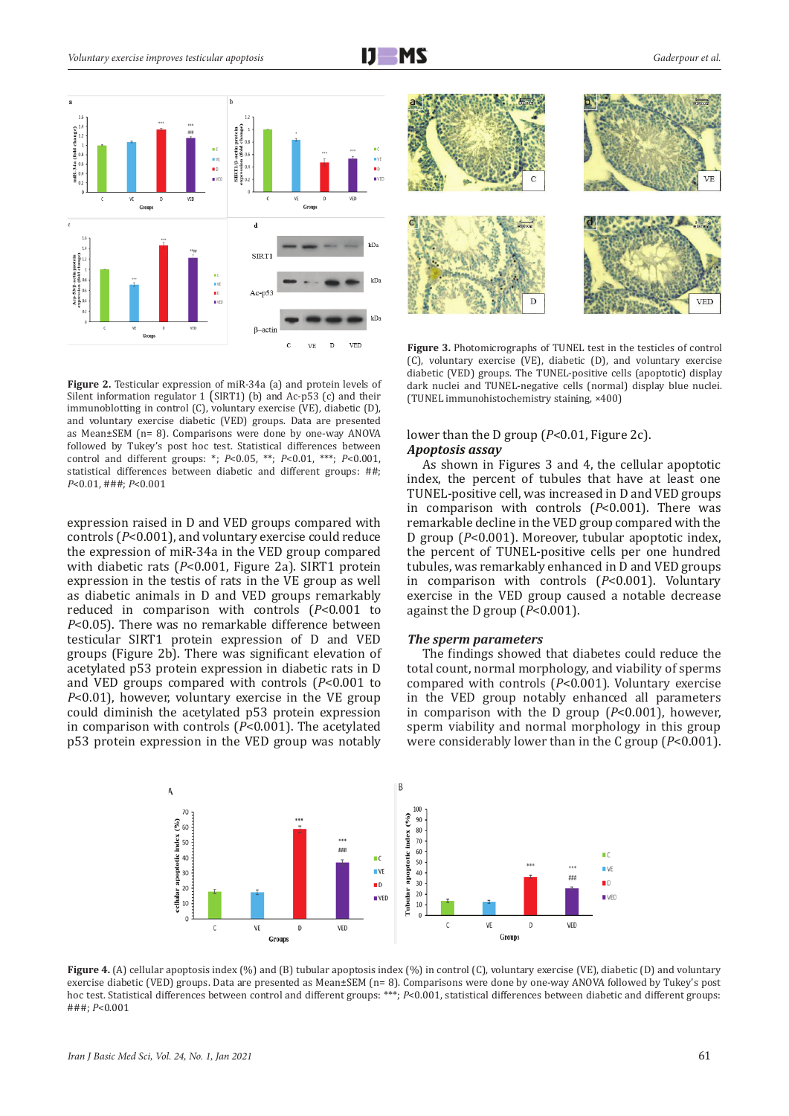

**Figure 2.** Testicular expression of miR-34a (a) and protein levels of Silent information regulator 1 (SIRT1) (b) and Ac-p53 (c) and their immunoblotting in control (C), voluntary exercise (VE), diabetic (D), and voluntary exercise diabetic (VED) groups. Data are presented as Mean±SEM (n= 8). Comparisons were done by one-way ANOVA followed by Tukey's post hoc test. Statistical differences between control and different groups: \*; *P*<0.05, \*\*; *P*<0.01, \*\*\*; *P*<0.001, statistical differences between diabetic and different groups: ##; *P*<0.01, ###; *P*<0.001

expression raised in D and VED groups compared with controls (*P*<0.001), and voluntary exercise could reduce the expression of miR-34a in the VED group compared with diabetic rats (P<0.001, Figure 2a). SIRT1 protein expression in the testis of rats in the VE group as well as diabetic animals in D and VED groups remarkably reduced in comparison with controls (*P*<0.001 to *P*<0.05). There was no remarkable difference between testicular SIRT1 protein expression of D and VED groups (Figure 2b). There was significant elevation of acetylated p53 protein expression in diabetic rats in D and VED groups compared with controls (*P*<0.001 to *P*<0.01), however, voluntary exercise in the VE group could diminish the acetylated p53 protein expression in comparison with controls (*P*<0.001). The acetylated p53 protein expression in the VED group was notably



**Figure 3.** Photomicrographs of TUNEL test in the testicles of control (C), voluntary exercise (VE), diabetic (D), and voluntary exercise diabetic (VED) groups. The TUNEL-positive cells (apoptotic) display dark nuclei and TUNEL-negative cells (normal) display blue nuclei. (TUNEL immunohistochemistry staining, ×400)

# lower than the D group (*P*<0.01, Figure 2c). *Apoptosis assay*

As shown in Figures 3 and 4, the cellular apoptotic index, the percent of tubules that have at least one TUNEL-positive cell, was increased in D and VED groups in comparison with controls (*P*<0.001). There was remarkable decline in the VED group compared with the D group (*P*<0.001). Moreover, tubular apoptotic index, the percent of TUNEL-positive cells per one hundred tubules, was remarkably enhanced in D and VED groups in comparison with controls (*P*<0.001). Voluntary exercise in the VED group caused a notable decrease against the D group (*P*<0.001).

# *The sperm parameters*

The findings showed that diabetes could reduce the total count, normal morphology, and viability of sperms compared with controls (*P*<0.001). Voluntary exercise in the VED group notably enhanced all parameters in comparison with the D group (*P*<0.001), however, sperm viability and normal morphology in this group were considerably lower than in the C group (*P*<0.001).



**Figure 4.** (A) cellular apoptosis index (%) and (B) tubular apoptosis index (%) in control (C), voluntary exercise (VE), diabetic (D) and voluntary exercise diabetic (VED) groups. Data are presented as Mean±SEM (n= 8). Comparisons were done by one-way ANOVA followed by Tukey's post hoc test. Statistical differences between control and different groups: \*\*\*; *P*<0.001, statistical differences between diabetic and different groups: ###; *P*<0.001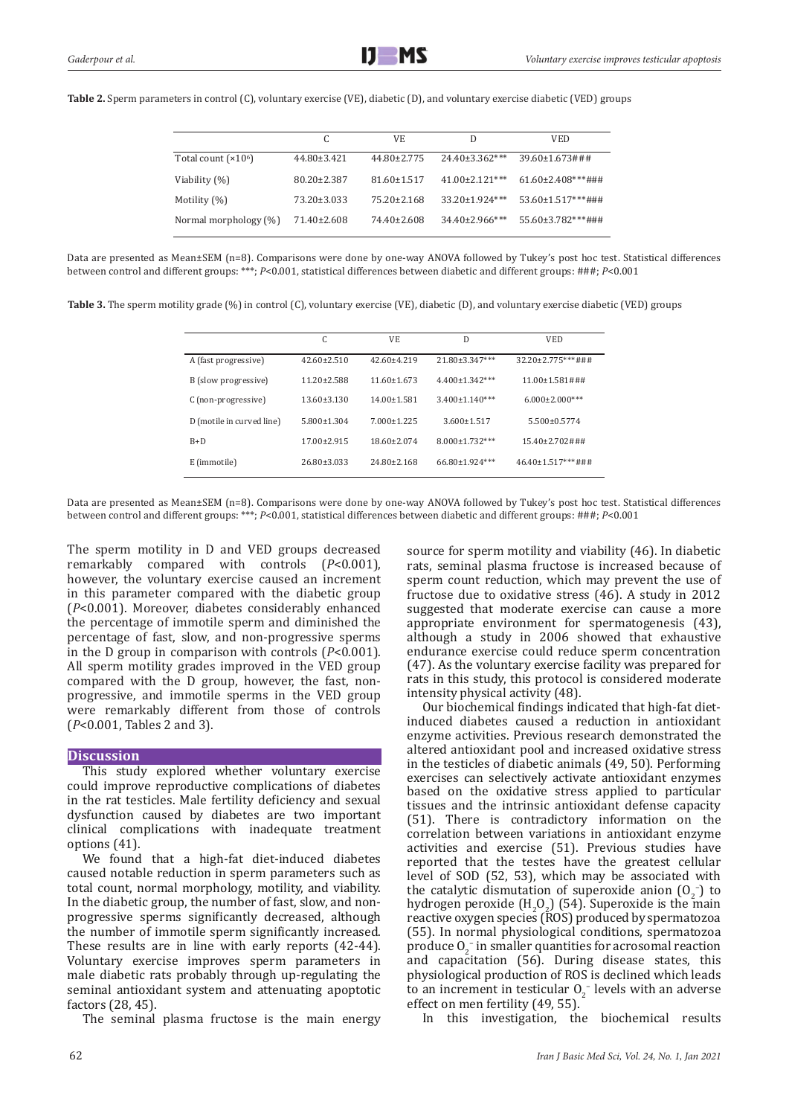**Table 2.** Sperm parameters in control (C), voluntary exercise (VE), diabetic (D), and voluntary exercise diabetic (VED) groups

|                       | C                 | VF.               | D                     | VED.                                    |
|-----------------------|-------------------|-------------------|-----------------------|-----------------------------------------|
| Total count $(x106)$  | $44.80 \pm 3.421$ | $44.80 \pm 2.775$ | $24.40\pm3.362***$    | $39.60 \pm 1.673 \text{ \#} \text{ \#}$ |
| Viability (%)         | $80.20 \pm 2.387$ | $81.60 \pm 1.517$ | $41.00 \pm 2.121$ *** | $61.60\pm2.408***$ ###                  |
| Motility (%)          | 73.20±3.033       | $75.20 \pm 2.168$ | $33.20 \pm 1.924$ *** | $53.60 \pm 1.517$ ***###                |
| Normal morphology (%) | 71.40±2.608       | 74.40±2.608       | $34.40\pm2.966$ ***   | $55.60\pm3.782***$ ###                  |

Data are presented as Mean±SEM (n=8). Comparisons were done by one-way ANOVA followed by Tukey's post hoc test. Statistical differences between control and different groups: \*\*\*; *P*<0.001, statistical differences between diabetic and different groups: ###; *P*<0.001

**Table 3.** The sperm motility grade (%) in control (C), voluntary exercise (VE), diabetic (D), and voluntary exercise diabetic (VED) groups

|                           | C                 | VE                | D                     | <b>VED</b>             |
|---------------------------|-------------------|-------------------|-----------------------|------------------------|
| A (fast progressive)      | $42.60 \pm 2.510$ | $42.60 \pm 4.219$ | 21.80±3.347***        | 32.20±2.775***###      |
| B (slow progressive)      | $11.20 \pm 2.588$ | $11.60 \pm 1.673$ | $4.400 \pm 1.342$ *** | $11.00 \pm 1.581 \# 4$ |
| C (non-progressive)       | $13.60 \pm 3.130$ | $14.00 \pm 1.581$ | $3.400 \pm 1.140$ *** | $6.000 \pm 2.000$ ***  |
| D (motile in curved line) | $5.800 \pm 1.304$ | $7.000 \pm 1.225$ | $3.600 \pm 1.517$     | $5.500 \pm 0.5774$     |
| $B+D$                     | $17.00 \pm 2.915$ | $18.60 \pm 2.074$ | 8.000±1.732***        | $15.40\pm2.702\#$ ##   |
| E (immotile)              | 26.80±3.033       | 24.80±2.168       | 66.80±1.924***        | $46.40\pm1.517***$ ### |

Data are presented as Mean±SEM (n=8). Comparisons were done by one-way ANOVA followed by Tukey's post hoc test. Statistical differences between control and different groups: \*\*\*; *P*<0.001, statistical differences between diabetic and different groups: ###; *P*<0.001

The sperm motility in D and VED groups decreased remarkably compared with controls (*P*<0.001), however, the voluntary exercise caused an increment in this parameter compared with the diabetic group (*P*<0.001). Moreover, diabetes considerably enhanced the percentage of immotile sperm and diminished the percentage of fast, slow, and non-progressive sperms in the D group in comparison with controls (*P*<0.001). All sperm motility grades improved in the VED group compared with the D group, however, the fast, nonprogressive, and immotile sperms in the VED group were remarkably different from those of controls (*P*<0.001, Tables 2 and 3).

# **Discussion**

This study explored whether voluntary exercise could improve reproductive complications of diabetes in the rat testicles. Male fertility deficiency and sexual dysfunction caused by diabetes are two important clinical complications with inadequate treatment options (41).

We found that a high-fat diet-induced diabetes caused notable reduction in sperm parameters such as total count, normal morphology, motility, and viability. In the diabetic group, the number of fast, slow, and nonprogressive sperms significantly decreased, although the number of immotile sperm significantly increased. These results are in line with early reports (42-44). Voluntary exercise improves sperm parameters in male diabetic rats probably through up-regulating the seminal antioxidant system and attenuating apoptotic factors (28, 45).

The seminal plasma fructose is the main energy

source for sperm motility and viability (46). In diabetic rats, seminal plasma fructose is increased because of sperm count reduction, which may prevent the use of fructose due to oxidative stress (46). A study in 2012 suggested that moderate exercise can cause a more appropriate environment for spermatogenesis (43), although a study in 2006 showed that exhaustive endurance exercise could reduce sperm concentration (47). As the voluntary exercise facility was prepared for rats in this study, this protocol is considered moderate intensity physical activity (48).

Our biochemical findings indicated that high-fat dietinduced diabetes caused a reduction in antioxidant enzyme activities. Previous research demonstrated the altered antioxidant pool and increased oxidative stress in the testicles of diabetic animals (49, 50). Performing exercises can selectively activate antioxidant enzymes based on the oxidative stress applied to particular tissues and the intrinsic antioxidant defense capacity (51). There is contradictory information on the correlation between variations in antioxidant enzyme activities and exercise (51). Previous studies have reported that the testes have the greatest cellular level of SOD (52, 53), which may be associated with the catalytic dismutation of superoxide anion  $(0<sub>2</sub>^-)$  to hydrogen peroxide  $(H_2O_2)$  (54). Superoxide is the main reactive oxygen species (ROS) produced by spermatozoa (55). In normal physiological conditions, spermatozoa produce  $O_2^-$  in smaller quantities for acrosomal reaction and capacitation (56). During disease states, this physiological production of ROS is declined which leads to an increment in testicular  $O_2^-$  levels with an adverse effect on men fertility (49, 55).

In this investigation, the biochemical results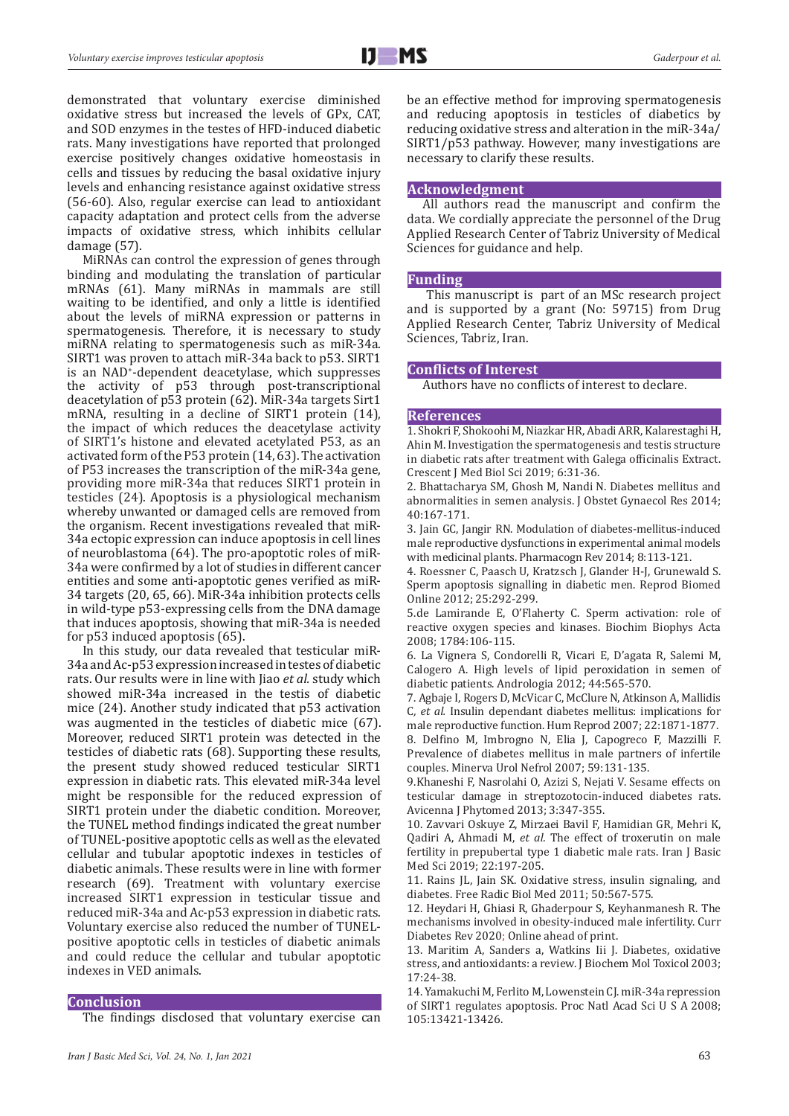demonstrated that voluntary exercise diminished oxidative stress but increased the levels of GPx, CAT, and SOD enzymes in the testes of HFD-induced diabetic rats. Many investigations have reported that prolonged exercise positively changes oxidative homeostasis in cells and tissues by reducing the basal oxidative injury levels and enhancing resistance against oxidative stress (56-60). Also, regular exercise can lead to antioxidant capacity adaptation and protect cells from the adverse impacts of oxidative stress, which inhibits cellular damage (57).

MiRNAs can control the expression of genes through binding and modulating the translation of particular mRNAs (61). Many miRNAs in mammals are still waiting to be identified, and only a little is identified about the levels of miRNA expression or patterns in spermatogenesis. Therefore, it is necessary to study miRNA relating to spermatogenesis such as miR-34a. SIRT1 was proven to attach miR-34a back to p53. SIRT1 is an NAD+ -dependent deacetylase, which suppresses the activity of p53 through post-transcriptional deacetylation of p53 protein (62). MiR-34a targets Sirt1 mRNA, resulting in a decline of SIRT1 protein (14), the impact of which reduces the deacetylase activity of SIRT1's histone and elevated acetylated P53, as an activated form of the P53 protein (14, 63). The activation of P53 increases the transcription of the miR-34a gene, providing more miR-34a that reduces SIRT1 protein in testicles (24). Apoptosis is a physiological mechanism whereby unwanted or damaged cells are removed from the organism. Recent investigations revealed that miR-34a ectopic expression can induce apoptosis in cell lines of neuroblastoma (64). The pro-apoptotic roles of miR-34a were confirmed by a lot of studies in different cancer entities and some anti-apoptotic genes verified as miR-34 targets (20, 65, 66). MiR-34a inhibition protects cells in wild-type p53-expressing cells from the DNA damage that induces apoptosis, showing that miR-34a is needed for p53 induced apoptosis (65).

In this study, our data revealed that testicular miR-34a and Ac-p53 expression increased in testes of diabetic rats. Our results were in line with Jiao *et al.* study which showed miR-34a increased in the testis of diabetic mice (24). Another study indicated that p53 activation was augmented in the testicles of diabetic mice (67). Moreover, reduced SIRT1 protein was detected in the testicles of diabetic rats (68). Supporting these results, the present study showed reduced testicular SIRT1 expression in diabetic rats. This elevated miR-34a level might be responsible for the reduced expression of SIRT1 protein under the diabetic condition. Moreover, the TUNEL method findings indicated the great number of TUNEL-positive apoptotic cells as well as the elevated cellular and tubular apoptotic indexes in testicles of diabetic animals. These results were in line with former research (69). Treatment with voluntary exercise increased SIRT1 expression in testicular tissue and reduced miR-34a and Ac-p53 expression in diabetic rats. Voluntary exercise also reduced the number of TUNELpositive apoptotic cells in testicles of diabetic animals and could reduce the cellular and tubular apoptotic indexes in VED animals.

## **Conclusion**

The findings disclosed that voluntary exercise can

*Iran J Basic Med Sci, Vol. 24, No. 1, Jan 2021* 63

be an effective method for improving spermatogenesis and reducing apoptosis in testicles of diabetics by reducing oxidative stress and alteration in the miR-34a/ SIRT1/p53 pathway. However, many investigations are necessary to clarify these results.

# **Acknowledgment**

All authors read the manuscript and confirm the data. We cordially appreciate the personnel of the Drug Applied Research Center of Tabriz University of Medical Sciences for guidance and help.

# **Funding**

 This manuscript is part of an MSc research project and is supported by a grant (No: 59715) from Drug Applied Research Center, Tabriz University of Medical Sciences, Tabriz, Iran.

# **Conflicts of Interest**

Authors have no conflicts of interest to declare.

# **References**

1. Shokri F, Shokoohi M, Niazkar HR, Abadi ARR, Kalarestaghi H, Ahin M. Investigation the spermatogenesis and testis structure in diabetic rats after treatment with Galega officinalis Extract. Crescent J Med Biol Sci 2019; 6:31-36.

2. Bhattacharya SM, Ghosh M, Nandi N. Diabetes mellitus and abnormalities in semen analysis. J Obstet Gynaecol Res 2014; 40:167-171.

3. Jain GC, Jangir RN. Modulation of diabetes-mellitus-induced male reproductive dysfunctions in experimental animal models with medicinal plants. Pharmacogn Rev 2014; 8:113-121.

4. Roessner C, Paasch U, Kratzsch J, Glander H-J, Grunewald S. Sperm apoptosis signalling in diabetic men. Reprod Biomed Online 2012; 25:292-299.

5.de Lamirande E, O'Flaherty C. Sperm activation: role of reactive oxygen species and kinases. Biochim Biophys Acta 2008; 1784:106-115.

6. La Vignera S, Condorelli R, Vicari E, D'agata R, Salemi M, Calogero A. High levels of lipid peroxidation in semen of diabetic patients. Andrologia 2012; 44:565-570.

7. Agbaje I, Rogers D, McVicar C, McClure N, Atkinson A, Mallidis C*, et al.* Insulin dependant diabetes mellitus: implications for male reproductive function. Hum Reprod 2007; 22:1871-1877.

8. Delfino M, Imbrogno N, Elia J, Capogreco F, Mazzilli F. Prevalence of diabetes mellitus in male partners of infertile couples. Minerva Urol Nefrol 2007; 59:131-135.

9.Khaneshi F, Nasrolahi O, Azizi S, Nejati V. Sesame effects on testicular damage in streptozotocin-induced diabetes rats. Avicenna J Phytomed 2013; 3:347-355.

10. Zavvari Oskuye Z, Mirzaei Bavil F, Hamidian GR, Mehri K, Qadiri A, Ahmadi M, *et al.* The effect of troxerutin on male fertility in prepubertal type 1 diabetic male rats. Iran J Basic Med Sci 2019; 22:197-205.

11. Rains JL, Jain SK. Oxidative stress, insulin signaling, and diabetes. Free Radic Biol Med 2011; 50:567-575.

12. Heydari H, Ghiasi R, Ghaderpour S, Keyhanmanesh R. The mechanisms involved in obesity-induced male infertility. Curr Diabetes Rev 2020; Online ahead of print.

13. Maritim A, Sanders a, Watkins Iii J. Diabetes, oxidative stress, and antioxidants: a review. J Biochem Mol Toxicol 2003; 17:24-38.

14. Yamakuchi M, Ferlito M, Lowenstein CJ. miR-34a repression of SIRT1 regulates apoptosis. Proc Natl Acad Sci U S A 2008; 105:13421-13426.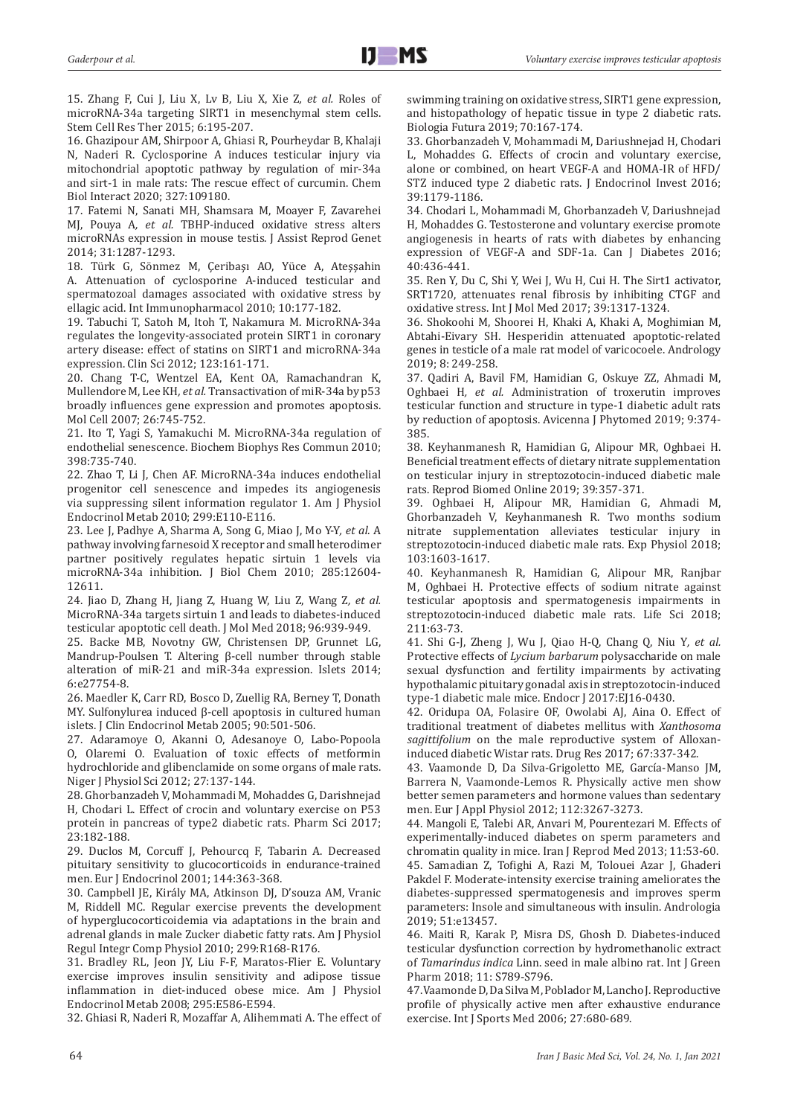15. Zhang F, Cui J, Liu X, Lv B, Liu X, Xie Z*, et al.* Roles of microRNA-34a targeting SIRT1 in mesenchymal stem cells. Stem Cell Res Ther 2015; 6:195-207.

16. Ghazipour AM, Shirpoor A, Ghiasi R, Pourheydar B, Khalaji N, Naderi R. Cyclosporine A induces testicular injury via mitochondrial apoptotic pathway by regulation of mir-34a and sirt-1 in male rats: The rescue effect of curcumin. Chem Biol Interact 2020; 327:109180.

17. Fatemi N, Sanati MH, Shamsara M, Moayer F, Zavarehei MJ, Pouya A*, et al.* TBHP-induced oxidative stress alters microRNAs expression in mouse testis. J Assist Reprod Genet 2014; 31:1287-1293.

18. Türk G, Sönmez M, Çeribaşı AO, Yüce A, Ateşşahin A. Attenuation of cyclosporine A-induced testicular and spermatozoal damages associated with oxidative stress by ellagic acid. Int Immunopharmacol 2010; 10:177-182.

19. Tabuchi T, Satoh M, Itoh T, Nakamura M. MicroRNA-34a regulates the longevity-associated protein SIRT1 in coronary artery disease: effect of statins on SIRT1 and microRNA-34a expression. Clin Sci 2012; 123:161-171.

20. Chang T-C, Wentzel EA, Kent OA, Ramachandran K, Mullendore M, Lee KH*, et al.* Transactivation of miR-34a by p53 broadly influences gene expression and promotes apoptosis. Mol Cell 2007; 26:745-752.

21. Ito T, Yagi S, Yamakuchi M. MicroRNA-34a regulation of endothelial senescence. Biochem Biophys Res Commun 2010; 398:735-740.

22. Zhao T, Li J, Chen AF. MicroRNA-34a induces endothelial progenitor cell senescence and impedes its angiogenesis via suppressing silent information regulator 1. Am J Physiol Endocrinol Metab 2010; 299:E110-E116.

23. Lee J, Padhye A, Sharma A, Song G, Miao J, Mo Y-Y*, et al.* A pathway involving farnesoid X receptor and small heterodimer partner positively regulates hepatic sirtuin 1 levels via microRNA-34a inhibition. J Biol Chem 2010; 285:12604- 12611.

24. Jiao D, Zhang H, Jiang Z, Huang W, Liu Z, Wang Z*, et al.* MicroRNA-34a targets sirtuin 1 and leads to diabetes-induced testicular apoptotic cell death. J Mol Med 2018; 96:939-949.

25. Backe MB, Novotny GW, Christensen DP, Grunnet LG, Mandrup-Poulsen T. Altering β-cell number through stable alteration of miR-21 and miR-34a expression. Islets 2014; 6:e27754-8.

26. Maedler K, Carr RD, Bosco D, Zuellig RA, Berney T, Donath MY. Sulfonylurea induced β-cell apoptosis in cultured human islets. J Clin Endocrinol Metab 2005; 90:501-506.

27. Adaramoye O, Akanni O, Adesanoye O, Labo-Popoola O, Olaremi O. Evaluation of toxic effects of metformin hydrochloride and glibenclamide on some organs of male rats. Niger J Physiol Sci 2012; 27:137-144.

28. Ghorbanzadeh V, Mohammadi M, Mohaddes G, Darishnejad H, Chodari L. Effect of crocin and voluntary exercise on P53 protein in pancreas of type2 diabetic rats. Pharm Sci 2017; [23:](https://ps.tbzmed.ac.ir/Archive/23/3)182-188.

29. Duclos M, Corcuff J, Pehourcq F, Tabarin A. Decreased pituitary sensitivity to glucocorticoids in endurance-trained men. Eur J Endocrinol 2001; 144:363-368.

30. Campbell JE, Király MA, Atkinson DJ, D'souza AM, Vranic M, Riddell MC. Regular exercise prevents the development of hyperglucocorticoidemia via adaptations in the brain and adrenal glands in male Zucker diabetic fatty rats. Am J Physiol Regul Integr Comp Physiol 2010; 299:R168-R176.

31. Bradley RL, Jeon JY, Liu F-F, Maratos-Flier E. Voluntary exercise improves insulin sensitivity and adipose tissue inflammation in diet-induced obese mice. Am J Physiol Endocrinol Metab 2008; 295:E586-E594.

32. Ghiasi R, Naderi R, Mozaffar A, Alihemmati A. The effect of

swimming training on oxidative stress, SIRT1 gene expression, and histopathology of hepatic tissue in type 2 diabetic rats. Biologia Futura 2019; 70:167-174.

33. Ghorbanzadeh V, Mohammadi M, Dariushnejad H, Chodari L, Mohaddes G. Effects of crocin and voluntary exercise, alone or combined, on heart VEGF-A and HOMA-IR of HFD/ STZ induced type 2 diabetic rats. J Endocrinol Invest 2016; 39:1179-1186.

34. Chodari L, Mohammadi M, Ghorbanzadeh V, Dariushnejad H, Mohaddes G. Testosterone and voluntary exercise promote angiogenesis in hearts of rats with diabetes by enhancing expression of VEGF-A and SDF-1a. Can J Diabetes 2016; 40:436-441.

35. Ren Y, Du C, Shi Y, Wei J, Wu H, Cui H. The Sirt1 activator, SRT1720, attenuates renal fibrosis by inhibiting CTGF and oxidative stress. Int J Mol Med 2017; 39:1317-1324.

36. Shokoohi M, Shoorei H, Khaki A, Khaki A, Moghimian M, Abtahi-Eivary SH. Hesperidin attenuated apoptotic-related genes in testicle of a male rat model of varicocoele. Andrology 2019; 8: 249-258.

37. Qadiri A, Bavil FM, Hamidian G, Oskuye ZZ, Ahmadi M, Oghbaei H*, et al.* Administration of troxerutin improves testicular function and structure in type-1 diabetic adult rats by reduction of apoptosis. Avicenna J Phytomed 2019; 9:374- 385.

38. Keyhanmanesh R, Hamidian G, Alipour MR, Oghbaei H. Beneficial treatment effects of dietary nitrate supplementation on testicular injury in streptozotocin-induced diabetic male rats. Reprod Biomed Online 2019; 39:357-371.

39. Oghbaei H, Alipour MR, Hamidian G, Ahmadi M, Ghorbanzadeh V, Keyhanmanesh R. Two months sodium nitrate supplementation alleviates testicular injury in streptozotocin-induced diabetic male rats. Exp Physiol 2018; 103:1603-1617.

40. Keyhanmanesh R, Hamidian G, Alipour MR, Ranjbar M, Oghbaei H. Protective effects of sodium nitrate against testicular apoptosis and spermatogenesis impairments in streptozotocin-induced diabetic male rats. Life Sci 2018; 211:63-73.

41. Shi G-J, Zheng J, Wu J, Qiao H-Q, Chang Q, Niu Y*, et al.* Protective effects of *Lycium barbarum* polysaccharide on male sexual dysfunction and fertility impairments by activating hypothalamic pituitary gonadal axis in streptozotocin-induced type-1 diabetic male mice. Endocr J 2017:EJ16-0430.

42. Oridupa OA, Folasire OF, Owolabi AJ, Aina O. Effect of traditional treatment of diabetes mellitus with *Xanthosoma sagittifolium* on the male reproductive system of Alloxaninduced diabetic Wistar rats. Drug Res 2017; 67:337-342.

43. Vaamonde D, Da Silva-Grigoletto ME, García-Manso JM, Barrera N, Vaamonde-Lemos R. Physically active men show better semen parameters and hormone values than sedentary men. Eur J Appl Physiol 2012; 112:3267-3273.

44. Mangoli E, Talebi AR, Anvari M, Pourentezari M. Effects of experimentally-induced diabetes on sperm parameters and chromatin quality in mice. Iran J Reprod Med 2013; 11:53-60. 45. Samadian Z, Tofighi A, Razi M, Tolouei Azar J, Ghaderi Pakdel F. Moderate-intensity exercise training ameliorates the diabetes-suppressed spermatogenesis and improves sperm parameters: Insole and simultaneous with insulin. Andrologia 2019; 51:e13457.

46. Maiti R, Karak P, Misra DS, Ghosh D. Diabetes-induced testicular dysfunction correction by hydromethanolic extract of *Tamarindus indica* Linn. seed in male albino rat. Int J Green Pharm 2018; 11: S789-S796.

47.Vaamonde D, Da Silva M, Poblador M, Lancho J. Reproductive profile of physically active men after exhaustive endurance exercise. Int J Sports Med 2006; 27:680-689.